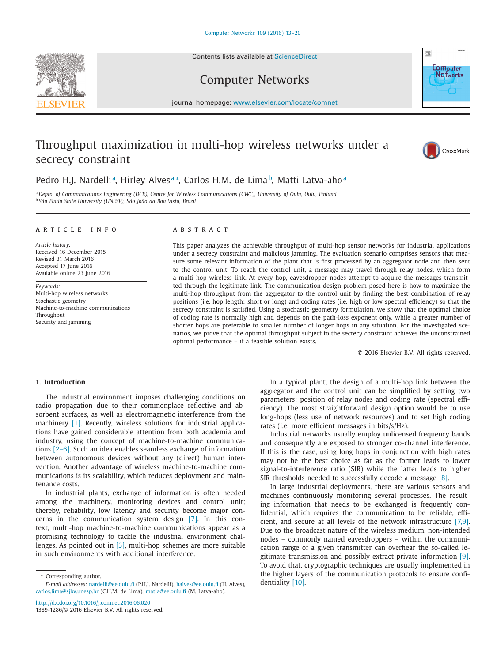Contents lists available at [ScienceDirect](http://www.ScienceDirect.com)



Computer Networks



journal homepage: [www.elsevier.com/locate/comnet](http://www.elsevier.com/locate/comnet)

# Throughput maximization in multi-hop wireless networks under a secrecy constraint



# Pedro H.J. Nardelli<sup>a</sup>, Hirley Alves<sup>a,</sup>\*, Carlos H.M. de Lima<sup>b</sup>, Matti Latva-aho<sup>a</sup>

a Depto. of Communications Engineering (DCE), Centre for Wireless Communications (CWC), University of Oulu, Oulu, Finland <sup>b</sup> *São Paulo State University (UNESP), São João da Boa Vista, Brazil*

#### a r t i c l e i n f o

*Article history:* Received 16 December 2015 Revised 31 March 2016 Accepted 17 June 2016 Available online 23 June 2016

*Keywords:* Multi-hop wireless networks Stochastic geometry Machine-to-machine communications Throughput Security and jamming

# A B S T R A C T

This paper analyzes the achievable throughput of multi-hop sensor networks for industrial applications under a secrecy constraint and malicious jamming. The evaluation scenario comprises sensors that measure some relevant information of the plant that is first processed by an aggregator node and then sent to the control unit. To reach the control unit, a message may travel through relay nodes, which form a multi-hop wireless link. At every hop, eavesdropper nodes attempt to acquire the messages transmitted through the legitimate link. The communication design problem posed here is how to maximize the multi-hop throughput from the aggregator to the control unit by finding the best combination of relay positions (i.e. hop length: short or long) and coding rates (i.e. high or low spectral efficiency) so that the secrecy constraint is satisfied. Using a stochastic-geometry formulation, we show that the optimal choice of coding rate is normally high and depends on the path-loss exponent only, while a greater number of shorter hops are preferable to smaller number of longer hops in any situation. For the investigated scenarios, we prove that the optimal throughput subject to the secrecy constraint achieves the unconstrained optimal performance – if a feasible solution exists.

© 2016 Elsevier B.V. All rights reserved.

# **1. Introduction**

The industrial environment imposes challenging conditions on radio propagation due to their commonplace reflective and absorbent surfaces, as well as electromagnetic interference from the machinery [\[1\].](#page-6-0) Recently, wireless solutions for industrial applications have gained considerable attention from both academia and industry, using the concept of machine-to-machine communications [\[2–6\].](#page-6-0) Such an idea enables seamless exchange of information between autonomous devices without any (direct) human intervention. Another advantage of wireless machine-to-machine communications is its scalability, which reduces deployment and maintenance costs.

In industrial plants, exchange of information is often needed among the machinery, monitoring devices and control unit; thereby, reliability, low latency and security become major concerns in the communication system design [\[7\].](#page-6-0) In this context, multi-hop machine-to-machine communications appear as a promising technology to tackle the industrial environment challenges. As pointed out in [\[3\],](#page-6-0) multi-hop schemes are more suitable in such environments with additional interference.

<http://dx.doi.org/10.1016/j.comnet.2016.06.020> 1389-1286/© 2016 Elsevier B.V. All rights reserved.

In a typical plant, the design of a multi-hop link between the aggregator and the control unit can be simplified by setting two parameters: position of relay nodes and coding rate (spectral efficiency). The most straightforward design option would be to use long-hops (less use of network resources) and to set high coding rates (i.e. more efficient messages in bits/s/Hz).

Industrial networks usually employ unlicensed frequency bands and consequently are exposed to stronger co-channel interference. If this is the case, using long hops in conjunction with high rates may not be the best choice as far as the former leads to lower signal-to-interference ratio (SIR) while the latter leads to higher SIR thresholds needed to successfully decode a message [\[8\].](#page-6-0)

In large industrial deployments, there are various sensors and machines continuously monitoring several processes. The resulting information that needs to be exchanged is frequently confidential, which requires the communication to be reliable, efficient, and secure at all levels of the network infrastructure [\[7,9\].](#page-6-0) Due to the broadcast nature of the wireless medium, non-intended nodes – commonly named eavesdroppers – within the communication range of a given transmitter can overhear the so-called legitimate transmission and possibly extract private information [\[9\].](#page-6-0) To avoid that, cryptographic techniques are usually implemented in the higher layers of the communication protocols to ensure confidentiality [\[10\].](#page-6-0)

<sup>∗</sup> Corresponding author. *E-mail addresses:* [nardelli@ee.oulu.fi](mailto:nardelli@ee.oulu.fi) (P.H.J. Nardelli), [halves@ee.oulu.fi](mailto:halves@ee.oulu.fi) (H. Alves), [carlos.lima@sjbv.unesp.br](mailto:carlos.lima@sjbv.unesp.br) (C.H.M. de Lima), [matla@ee.oulu.fi](mailto:matla@ee.oulu.fi) (M. Latva-aho).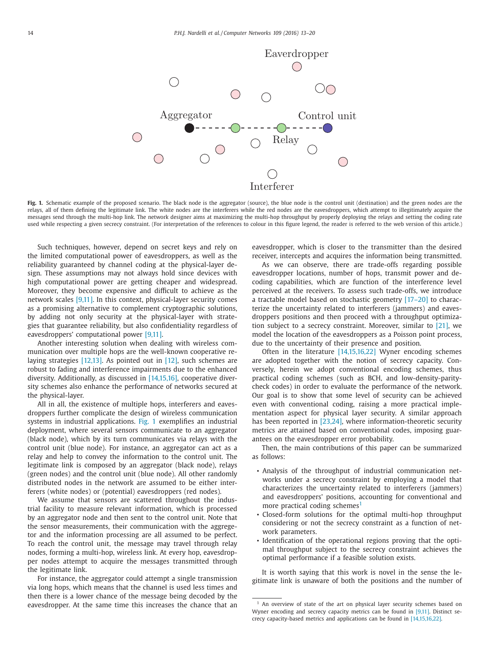

Fig. 1. Schematic example of the proposed scenario. The black node is the aggregator (source), the blue node is the control unit (destination) and the green nodes are the relays, all of them defining the legitimate link. The white nodes are the interferers while the red nodes are the eavesdroppers, which attempt to illegitimately acquire the messages send through the multi-hop link. The network designer aims at maximizing the multi-hop throughput by properly deploying the relays and setting the coding rate used while respecting a given secrecy constraint. (For interpretation of the references to colour in this figure legend, the reader is referred to the web version of this article.)

Such techniques, however, depend on secret keys and rely on the limited computational power of eavesdroppers, as well as the reliability guaranteed by channel coding at the physical-layer design. These assumptions may not always hold since devices with high computational power are getting cheaper and widespread. Moreover, they become expensive and difficult to achieve as the network scales [\[9,11\].](#page-6-0) In this context, physical-layer security comes as a promising alternative to complement cryptographic solutions, by adding not only security at the physical-layer with strategies that guarantee reliability, but also confidentiality regardless of eavesdroppers' computational power [\[9,11\].](#page-6-0)

Another interesting solution when dealing with wireless communication over multiple hops are the well-known cooperative relaying strategies [\[12,13\].](#page-6-0) As pointed out in [\[12\],](#page-6-0) such schemes are robust to fading and interference impairments due to the enhanced diversity. Additionally, as discussed in [\[14,15,16\],](#page-6-0) cooperative diversity schemes also enhance the performance of networks secured at the physical-layer.

All in all, the existence of multiple hops, interferers and eavesdroppers further complicate the design of wireless communication systems in industrial applications. Fig. 1 exemplifies an industrial deployment, where several sensors communicate to an aggregator (black node), which by its turn communicates via relays with the control unit (blue node). For instance, an aggregator can act as a relay and help to convey the information to the control unit. The legitimate link is composed by an aggregator (black node), relays (green nodes) and the control unit (blue node). All other randomly distributed nodes in the network are assumed to be either interferers (white nodes) or (potential) eavesdroppers (red nodes).

We assume that sensors are scattered throughout the industrial facility to measure relevant information, which is processed by an aggregator node and then sent to the control unit. Note that the sensor measurements, their communication with the aggregetor and the information processing are all assumed to be perfect. To reach the control unit, the message may travel through relay nodes, forming a multi-hop, wireless link. At every hop, eavesdropper nodes attempt to acquire the messages transmitted through the legitimate link.

For instance, the aggregator could attempt a single transmission via long hops, which means that the channel is used less times and then there is a lower chance of the message being decoded by the eavesdropper. At the same time this increases the chance that an eavesdropper, which is closer to the transmitter than the desired receiver, intercepts and acquires the information being transmitted.

As we can observe, there are trade-offs regarding possible eavesdropper locations, number of hops, transmit power and decoding capabilities, which are function of the interference level perceived at the receivers. To assess such trade-offs, we introduce a tractable model based on stochastic geometry [\[17–20\]](#page-6-0) to characterize the uncertainty related to interferers (jammers) and eavesdroppers positions and then proceed with a throughput optimization subject to a secrecy constraint. Moreover, similar to [\[21\],](#page-6-0) we model the location of the eavesdroppers as a Poisson point process, due to the uncertainty of their presence and position.

Often in the literature [\[14,15,16,22\]](#page-6-0) Wyner encoding schemes are adopted together with the notion of secrecy capacity. Conversely, herein we adopt conventional encoding schemes, thus practical coding schemes (such as BCH, and low-density-paritycheck codes) in order to evaluate the performance of the network. Our goal is to show that some level of security can be achieved even with conventional coding, raising a more practical implementation aspect for physical layer security. A similar approach has been reported in [\[23,24\],](#page-6-0) where information-theoretic security metrics are attained based on conventional codes, imposing guarantees on the eavesdropper error probability.

Then, the main contributions of this paper can be summarized as follows:

- Analysis of the throughput of industrial communication networks under a secrecy constraint by employing a model that characterizes the uncertainty related to interferers (jammers) and eavesdroppers' positions, accounting for conventional and more practical coding schemes $<sup>1</sup>$ </sup>
- Closed-form solutions for the optimal multi-hop throughput considering or not the secrecy constraint as a function of network parameters.
- Identification of the operational regions proving that the optimal throughput subject to the secrecy constraint achieves the optimal performance if a feasible solution exists.

It is worth saying that this work is novel in the sense the legitimate link is unaware of both the positions and the number of

<sup>&</sup>lt;sup>1</sup> An overview of state of the art on physical layer security schemes based on Wyner encoding and secrecy capacity metrics can be found in [\[9,11\].](#page-6-0) Distinct secrecy capacity-based metrics and applications can be found in [\[14,15,16,22\].](#page-6-0)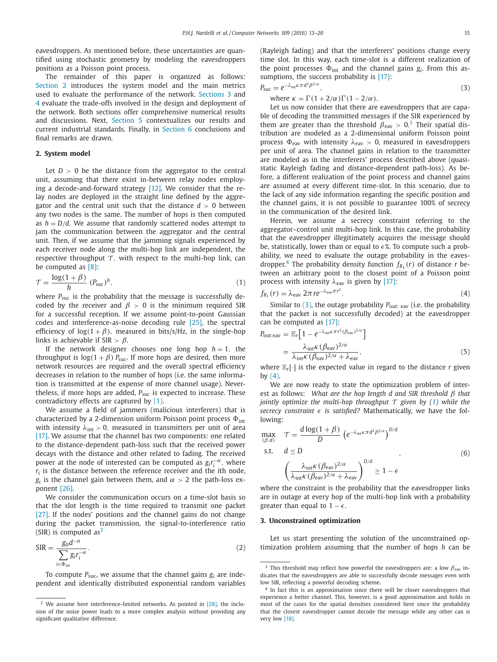<span id="page-2-0"></span>eavesdroppers. As mentioned before, these uncertainties are quantified using stochastic geometry by modeling the eavesdroppers positions as a Poisson point process.

The remainder of this paper is organized as follows: Section 2 introduces the system model and the main metrics used to evaluate the performance of the network. Sections 3 and [4](#page-3-0) evaluate the trade-offs involved in the design and deployment of the network. Both sections offer comprehensive numerical results and discussions. Next, [Section](#page-4-0) 5 contextualizes our results and current industrial standards. Finally, in [Section](#page-6-0) 6 conclusions and final remarks are drawn.

# **2. System model**

Let  $D > 0$  be the distance from the aggregator to the central unit, assuming that there exist in-between relay nodes employing a decode-and-forward strategy [\[12\].](#page-6-0) We consider that the relay nodes are deployed in the straight line defined by the aggregator and the central unit such that the distance  $d > 0$  between any two nodes is the same. The number of hops is then computed as  $h = D/d$ . We assume that randomly scattered nodes attempt to jam the communication between the aggregator and the central unit. Then, if we assume that the jamming signals experienced by each receiver node along the multi-hop link are independent, the respective throughput  $\mathcal T$ , with respect to the multi-hop link, can be computed as [\[8\]:](#page-6-0)

$$
\mathcal{T} = \frac{\log(1+\beta)}{h} (P_{\text{succ}})^h, \tag{1}
$$

where  $P_{\text{SUC}}$  is the probability that the message is successfully decoded by the receiver and  $\beta > 0$  is the minimum required SIR for a successful reception. If we assume point-to-point Gaussian codes and interference-as-noise decoding rule [\[25\],](#page-6-0) the spectral efficiency of  $log(1 + \beta)$ , measured in bits/s/Hz, in the single-hop links is achievable if SIR  $> \beta$ .

If the network designer chooses one long hop  $h = 1$ , the throughput is  $log(1 + \beta)$  *P<sub>suc</sub>*. If more hops are desired, then more network resources are required and the overall spectral efficiency decreases in relation to the number of hops (i.e. the same information is transmitted at the expense of more channel usage). Nevertheless, if more hops are added,  $P_{\text{succ}}$  is expected to increase. These contradictory effects are captured by (1).

We assume a field of jammers (malicious interferers) that is characterized by a 2-dimension uniform Poisson point process  $\Phi_{\text{int}}$ with intensity  $\lambda_{\text{int}} > 0$ , measured in transmitters per unit of area [\[17\].](#page-6-0) We assume that the channel has two components: one related to the distance-dependent path-loss such that the received power decays with the distance and other related to fading. The received power at the node of interested can be computed as  $g_i r_i^{-\alpha}$ , where  $r_i$  is the distance between the reference receiver and the *i*th node,  $g_i$  is the channel gain between them, and  $\alpha > 2$  the path-loss exponent [\[26\].](#page-6-0)

We consider the communication occurs on a time-slot basis so that the slot length is the time required to transmit one packet [\[27\].](#page-6-0) If the nodes' positions and the channel gains do not change during the packet transmission, the signal-to-interference ratio (SIR) is computed as<sup>2</sup>

$$
SIR = \frac{g_0 d^{-\alpha}}{\sum_{i \in \Phi_{int}} g_i r_i^{-\alpha}}.
$$
 (2)

To compute  $P_{\text{succ}}$ , we assume that the channel gains  $g_i$  are independent and identically distributed exponential random variables (Rayleigh fading) and that the interferers' positions change every time slot. In this way, each time-slot is a different realization of the point processes  $\Phi_{int}$  and the channel gains  $g_i$ . From this as-sumptions, the success probability is [\[17\]:](#page-6-0)

$$
P_{\text{SUC}} = e^{-\lambda_{\text{int}} \kappa \pi d^2 \beta^{2/\alpha}},\tag{3}
$$

where  $\kappa = \Gamma(1 + 2/\alpha)\Gamma(1 - 2/\alpha)$ .

Let us now consider that there are eavesdroppers that are capable of decoding the transmitted messages if the SIR experienced by them are greater than the threshold  $\beta_{\text{eav}} > 0.3$  Their spatial distribution are modeled as a 2-dimensional uniform Poisson point process  $\Phi_{\text{eav}}$  with intensity  $\lambda_{\text{eav}} > 0$ , measured in eavesdroppers per unit of area. The channel gains in relation to the transmitter are modeled as in the interferers' process described above (quasistatic Rayleigh fading and distance-dependent path-loss). As before, a different realization of the point process and channel gains are assumed at every different time-slot. In this scenario, due to the lack of any side information regarding the specific position and the channel gains, it is not possible to guarantee 100% of secrecy in the communication of the desired link.

Herein, we assume a secrecy constraint referring to the aggregator–control unit multi-hop link. In this case, the probability that the eavesdropper illegitimately acquires the message should be, statistically, lower than or equal to  $\epsilon$ %. To compute such a probability, we need to evaluate the outage probability in the eavesdropper.<sup>4</sup> The probability density function  $f_{R_1}(r)$  of distance *r* between an arbitrary point to the closest point of a Poisson point process with intensity  $\lambda_{\text{eav}}$  is given by [\[17\]:](#page-6-0)

$$
f_{R_1}(r) = \lambda_{\text{eav}} 2\pi r e^{-\lambda_{\text{eav}} \pi r^2}.
$$
\n<sup>(4)</sup>

Similar to (3), the outage probability  $P_{\text{out}: \text{eav}}$  (i.e. the probability that the packet is not successfully decoded) at the eavesdropper can be computed as [\[17\]:](#page-6-0)

$$
P_{\text{out:eav}} = \mathbb{E}_r \Big[ 1 - e^{-\lambda_{\text{int}} \kappa \pi r^2 (\beta_{\text{eav}})^{2/\alpha}} \Big] = \frac{\lambda_{\text{int}} \kappa (\beta_{\text{eav}})^{2/\alpha}}{\lambda_{\text{int}} \kappa (\beta_{\text{eav}})^{2/\alpha} + \lambda_{\text{eav}}},
$$
(5)

where  $\mathbb{E}_r[\cdot]$  is the expected value in regard to the distance *r* given by  $(4)$ .

We are now ready to state the optimization problem of interest as follows: *What are the hop length d and SIR threshold* β *that jointly optimize the multi-hop throughput*  $\tau$  *given by* (1) *while the secrecy constraint*  $\epsilon$  *is satisfied?* Mathematically, we have the following:

$$
\max_{(\beta,d)} \quad \mathcal{T} = \frac{d \log(1+\beta)}{D} \left( e^{-\lambda_{\text{int}} K \pi d^2 \beta^{2/\alpha}} \right)^{D/d}
$$
\ns.t.  $d \le D$   
\n
$$
\left( \frac{\lambda_{\text{int}} K (\beta_{\text{eav}})^{2/\alpha}}{\lambda_{\text{int}} K (\beta_{\text{eav}})^{2/\alpha} + \lambda_{\text{eav}}} \right)^{D/d} \ge 1 - \epsilon
$$
\n(6)

where the constraint is the probability that the eavesdropper links are in outage at every hop of the multi-hop link with a probability greater than equal to  $1 - \epsilon$ .

#### **3. Unconstrained optimization**

Let us start presenting the solution of the unconstrained optimization problem assuming that the number of hops *h* can be

<sup>&</sup>lt;sup>2</sup> We assume here interference-limited networks. As pointed in  $[28]$ , the inclusion of the noise power leads to a more complex analysis without providing any significant qualitative difference.

<sup>&</sup>lt;sup>3</sup> This threshold may reflect how powerful the eavesdroppers are: a low  $\beta_{\text{eav}}$  indicates that the eavesdroppers are able to successfully decode messages even with low SIR, reflecting a powerful decoding scheme.

<sup>&</sup>lt;sup>4</sup> In fact this is an approximation since there will be closer eavesdroppers that experience a better channel. This, however, is a good approximation and holds in most of the cases for the spatial densities considered here since the probability that the closest eavesdropper cannot decode the message while any other can is very low [\[18\].](#page-6-0)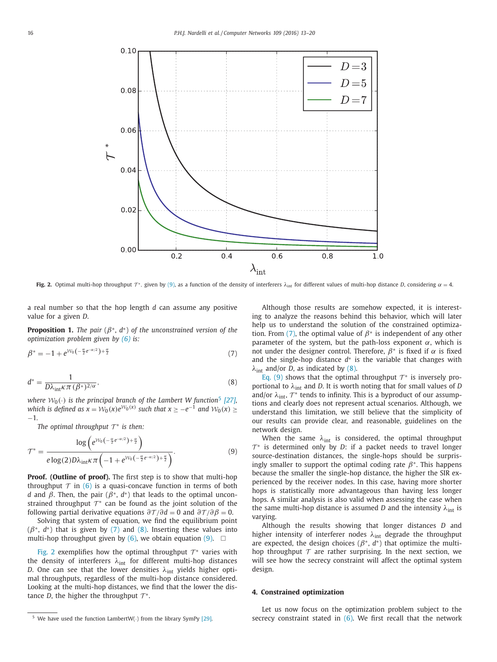<span id="page-3-0"></span>

**Fig. 2.** Optimal multi-hop throughput  $\tau^*$ , given by (9), as a function of the density of interferers  $\lambda_{\text{int}}$  for different values of multi-hop distance *D*, considering  $\alpha = 4$ .

a real number so that the hop length *d* can assume any positive value for a given *D*.

**Proposition 1.** *The pair* ( $\beta^*$ ,  $d^*$ ) *of the unconstrained version of the optimization problem given by [\(6\)](#page-2-0) is:*

$$
\beta^* = -1 + e^{\mathcal{W}_0 \left(-\frac{\alpha}{2}e^{-\alpha/2}\right) + \frac{\alpha}{2}}
$$
\n(7)

$$
d^* = \frac{1}{D\lambda_{\text{int}}\kappa\pi\,(\beta^*)^{2/\alpha}},\tag{8}
$$

*where*  $W_0(\cdot)$  *is the principal branch of the Lambert W function*<sup>5</sup> [\[27\],](#page-6-0) *which is defined*  $as x = W_0(x)e^{W_0(x)}$  *such that*  $x \ge -e^{-1}$  *and*  $W_0(x) \ge$ −1*.*

*The optimal throughput*  $T^*$  *is then:* 

$$
\mathcal{T}^* = \frac{\log\left(e^{\mathcal{W}_0\left(-\frac{\alpha}{2}e^{-\alpha/2}\right)+\frac{\alpha}{2}}\right)}{e\log(2)D\lambda_{\text{int}}\kappa\pi\left(-1+e^{\mathcal{W}_0\left(-\frac{\alpha}{2}e^{-\alpha/2}\right)+\frac{\alpha}{2}}\right)}.
$$
\n(9)

**Proof. (Outline of proof).** The first step is to show that multi-hop throughput  $\tau$  in [\(6\)](#page-2-0) is a quasi-concave function in terms of both *d* and  $\beta$ . Then, the pair ( $\beta^*$ ,  $d^*$ ) that leads to the optimal unconstrained throughput  $\mathcal{T}^*$  can be found as the joint solution of the following partial derivative equations  $\frac{\partial \mathcal{T}}{\partial d} = 0$  and  $\frac{\partial \mathcal{T}}{\partial \beta} = 0$ .

Solving that system of equation, we find the equilibrium point  $(\beta^*, d^*)$  that is given by (7) and (8). Inserting these values into multi-hop throughput given by  $(6)$ , we obtain equation  $(9)$ .  $\Box$ 

Fig. 2 exemplifies how the optimal throughput  $\mathcal{T}^*$  varies with the density of interferers  $\lambda_{int}$  for different multi-hop distances *D*. One can see that the lower densities  $\lambda_{int}$  yields higher optimal throughputs, regardless of the multi-hop distance considered. Looking at the multi-hop distances, we find that the lower the distance *D*, the higher the throughput  $\mathcal{T}^*$ .

Although those results are somehow expected, it is interesting to analyze the reasons behind this behavior, which will later help us to understand the solution of the constrained optimization. From (7), the optimal value of  $\beta^*$  is independent of any other parameter of the system, but the path-loss exponent  $\alpha$ , which is not under the designer control. Therefore,  $\beta^*$  is fixed if  $\alpha$  is fixed and the single-hop distance *d*∗ is the variable that changes with  $\lambda_{int}$  and/or *D*, as indicated by (8).

Eq. (9) shows that the optimal throughput  $\mathcal{T}^*$  is inversely proportional to  $\lambda_{int}$  and *D*. It is worth noting that for small values of *D* and/or  $\lambda_{\text{int}}$ ,  $\mathcal{T}^*$  tends to infinity. This is a byproduct of our assumptions and clearly does not represent actual scenarios. Although, we understand this limitation, we still believe that the simplicity of our results can provide clear, and reasonable, guidelines on the network design.

When the same  $\lambda_{int}$  is considered, the optimal throughput  $\mathcal{T}^*$  is determined only by *D*: if a packet needs to travel longer source-destination distances, the single-hops should be surprisingly smaller to support the optimal coding rate  $\beta^*$ . This happens because the smaller the single-hop distance, the higher the SIR experienced by the receiver nodes. In this case, having more shorter hops is statistically more advantageous than having less longer hops. A similar analysis is also valid when assessing the case when the same multi-hop distance is assumed *D* and the intensity  $\lambda_{int}$  is varying.

Although the results showing that longer distances *D* and higher intensity of interferer nodes  $\lambda_{int}$  degrade the throughput are expected, the design choices (β∗, *d*∗) that optimize the multihop throughput  $\tau$  are rather surprising. In the next section, we will see how the secrecy constraint will affect the optimal system design.

# **4. Constrained optimization**

Let us now focus on the optimization problem subject to the secrecy constraint stated in  $(6)$ . We first recall that the network

<sup>&</sup>lt;sup>5</sup> We have used the function LambertW( $\cdot$ ) from the library SymPy [\[29\].](#page-6-0)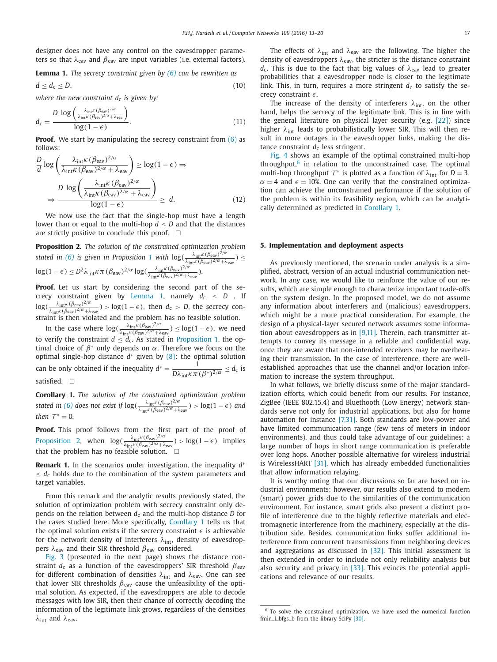<span id="page-4-0"></span>designer does not have any control on the eavesdropper parameters so that  $\lambda_{\text{eav}}$  and  $\beta_{\text{eav}}$  are input variables (i.e. external factors).

**Lemma 1.** *The secrecy constraint given by [\(6\)](#page-2-0) can be rewritten as*

$$
d \leq d_{\rm c} \leq D,\tag{10}
$$

*where the new constraint*  $d_c$  *is given by:* 

$$
d_{\rm c} = \frac{D \log \left( \frac{\lambda_{\rm int} \kappa (\beta_{\rm cav})^{2/\alpha}}{\lambda_{\rm int} \kappa (\beta_{\rm cav})^{2/\alpha} + \lambda_{\rm cav}} \right)}{\log (1 - \epsilon)}.
$$
(11)

**Proof.** We start by manipulating the secrecy constraint from [\(6\)](#page-2-0) as follows:

$$
\frac{D}{d} \log \left( \frac{\lambda_{\text{int}} K (\beta_{\text{eav}})^{2/\alpha}}{\lambda_{\text{int}} K (\beta_{\text{eav}})^{2/\alpha} + \lambda_{\text{eav}}} \right) \ge \log(1 - \epsilon) \Rightarrow
$$
\n
$$
\frac{D \log \left( \frac{\lambda_{\text{int}} K (\beta_{\text{eav}})^{2/\alpha}}{\lambda_{\text{int}} K (\beta_{\text{eav}})^{2/\alpha} + \lambda_{\text{eav}}} \right)}{\log(1 - \epsilon)} \ge d. \tag{12}
$$

We now use the fact that the single-hop must have a length lower than or equal to the multi-hop  $d < D$  and that the distances are strictly positive to conclude this proof.  $\;\;\Box$ 

**Proposition 2.** *The solution of the constrained optimization problem stated in* [\(6\)](#page-2-0) *is given in Proposition* [1](#page-3-0) *with*  $log(\frac{\lambda_{int}K(\beta_{eav})^{2/\alpha}}{\lambda_{int}K(\beta_{eav})^{2/\alpha} + \lambda_{eav}}) \le$  $\log(1-\epsilon) \leq D^2 \lambda_{\rm int} \kappa \pi \, (\beta_{\rm eav})^{2/\alpha} \log(\frac{\lambda_{\rm int} \kappa (\beta_{\rm eav})^{2/\alpha}}{\lambda_{\rm int} \kappa (\beta_{\rm eav})^{2/\alpha} + \lambda_{\rm eav}}).$ 

Proof. Let us start by considering the second part of the secrecy constraint given by Lemma 1, namely  $d_c \leq D$  . If  $log(\frac{\lambda_{int}K(\beta_{eav})^{2/\alpha}}{\lambda_{int}K(\beta_{eav})^{2/\alpha}+\lambda_{eav}}) > log(1-\epsilon)$ , then  $d_c > D$ , the secrecy constraint is then violated and the problem has no feasible solution.

In the case where  $\log(\frac{\lambda_{\text{int}}K(\beta_{\text{eav}})^{2/\alpha}}{\lambda_{\text{int}}K(\beta_{\text{eav}})^{2/\alpha}+\lambda_{\text{eav}}}) \leq \log(1-\epsilon)$ , we need to verify the constraint  $d \leq d_c$ . As stated in [Proposition](#page-3-0) 1, the optimal choice of  $β*$  only depends on  $α$ . Therefore we focus on the optimal single-hop distance *d*∗ given by [\(8\):](#page-3-0) the optimal solution can be only obtained if the inequality  $d^* = \frac{1}{D\lambda_{int}k\pi(\beta^*)^{2/\alpha}} \leq d_c$  is satisfied.  $\Box$ 

**Corollary 1.** *The solution of the constrained optimization problem stated in* [\(6\)](#page-2-0) *does not exist if*  $\log(\frac{\lambda_{\text{int}}K(\beta_{\text{eav}})^{2/\alpha}}{\lambda_{\text{int}}K(\beta_{\text{eav}})^{2/\alpha}+\lambda_{\text{eav}}}) > \log(1-\epsilon)$  *and then*  $T^* = 0$ *.* 

**Proof.** This proof follows from the first part of the proof of Proposition 2, when  $\log(\frac{\lambda_{\text{int}}K(\beta_{\text{eav}})^{2/\alpha}}{\lambda_{\text{int}}K(\beta_{\text{eav}})^{2/\alpha} + \lambda_{\text{eav}}}) > \log(1 - \epsilon)$  implies that the problem has no feasible solution.  $\;\;\Box$ 

**Remark 1.** In the scenarios under investigation, the inequality *d*∗  $\leq d_c$  holds due to the combination of the system parameters and target variables.

From this remark and the analytic results previously stated, the solution of optimization problem with secrecy constraint only depends on the relation between  $d_c$  and the multi-hop distance *D* for the cases studied here. More specifically, Corollary 1 tells us that the optimal solution exists if the secrecy constraint  $\epsilon$  is achievable for the network density of interferers  $\lambda_{int}$ , density of eavesdroppers  $λ_{\text{eav}}$  and their SIR threshold  $β_{\text{eav}}$  considered.

[Fig.](#page-5-0) 3 (presented in the next page) shows the distance constraint  $d_c$  as a function of the eavesdroppers' SIR threshold  $\beta_{\text{eav}}$ for different combination of densities  $\lambda_{int}$  and  $\lambda_{eav}$ . One can see that lower SIR thresholds  $\beta_{\text{eav}}$  cause the unfeasibility of the optimal solution. As expected, if the eavesdroppers are able to decode messages with low SIR, then their chance of correctly decoding the information of the legitimate link grows, regardless of the densities  $\lambda_{\text{int}}$  and  $\lambda_{\text{eav}}$ .

The effects of  $\lambda_{int}$  and  $\lambda_{eav}$  are the following. The higher the density of eavesdroppers  $\lambda_{\text{eav}}$ , the stricter is the distance constraint  $d_c$ . This is due to the fact that big values of  $\lambda_{\text{eav}}$  lead to greater probabilities that a eavesdropper node is closer to the legitimate link. This, in turn, requires a more stringent  $d_c$  to satisfy the secrecy constraint  $\epsilon$ .

The increase of the density of interferers  $\lambda_{int}$ , on the other hand, helps the secrecy of the legitimate link. This is in line with the general literature on physical layer security (e.g. [\[22\]\)](#page-6-0) since higher  $\lambda_{\text{int}}$  leads to probabilistically lower SIR. This will then result in more outages in the eavesdropper links, making the distance constraint  $d_c$  less stringent.

[Fig.](#page-5-0) 4 shows an example of the optimal constrained multi-hop throughput, $6$  in relation to the unconstrained case. The optimal multi-hop throughput  $T^*$  is plotted as a function of  $\lambda_{int}$  for  $D = 3$ ,  $\alpha = 4$  and  $\epsilon = 10\%$ . One can verify that the constrained optimization can achieve the unconstrained performance if the solution of the problem is within its feasibility region, which can be analytically determined as predicted in Corollary 1.

#### **5. Implementation and deployment aspects**

As previously mentioned, the scenario under analysis is a simplified, abstract, version of an actual industrial communication network. In any case, we would like to reinforce the value of our results, which are simple enough to characterize important trade-offs on the system design. In the proposed model, we do not assume any information about interferers and (malicious) eavesdroppers, which might be a more practical consideration. For example, the design of a physical-layer secured network assumes some information about eavesdroppers as in  $[9,11]$ . Therein, each transmitter attempts to convey its message in a reliable and confidential way, once they are aware that non-intended receivers may be overhearing their transmission. In the case of interference, there are wellestablished approaches that use the channel and/or location information to increase the system throughput.

In what follows, we briefly discuss some of the major standardization efforts, which could benefit from our results. For instance, ZigBee (IEEE 802.15.4) and Bluethooth (Low Energy) network standards serve not only for industrial applications, but also for home automation for instance [\[7,31\].](#page-6-0) Both standards are low-power and have limited communication range (few tens of meters in indoor environments), and thus could take advantage of our guidelines: a large number of hops in short range communication is preferable over long hops. Another possible alternative for wireless industrial is WirelessHART [\[31\],](#page-6-0) which has already embedded functionalities that allow information relaying.

It is worthy noting that our discussions so far are based on industrial environments; however, our results also extend to modern (smart) power grids due to the similarities of the communication environment. For instance, smart grids also present a distinct profile of interference due to the highly reflective materials and electromagnetic interference from the machinery, especially at the distribution side. Besides, communication links suffer additional interference from concurrent transmissions from neighboring devices and aggregations as discussed in [\[32\].](#page-6-0) This initial assessment is then extended in order to include not only reliability analysis but also security and privacy in [\[33\].](#page-6-0) This evinces the potential applications and relevance of our results.

 $6$  To solve the constrained optimization, we have used the numerical function fmin\_l\_bfgs\_b\_from\_the\_library SciPy [\[30\].](#page-6-0)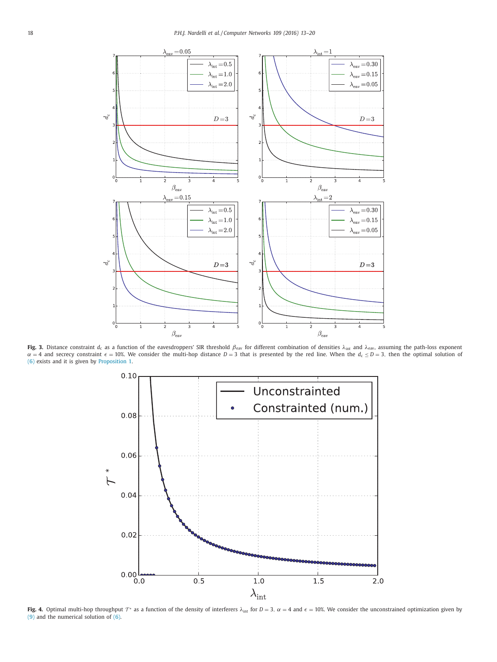<span id="page-5-0"></span>

**Fig. 3.** Distance constraint  $d_c$  as a function of the eavesdroppers' SIR threshold  $\beta_{\text{eav}}$  for different combination of densities  $\lambda_{\text{int}}$  and  $\lambda_{\text{eav}}$ , assuming the path-loss exponent  $\alpha = 4$  and secrecy constraint  $\epsilon = 10\%$ . We consider the multi-hop distance  $D = 3$  that is presented by the red line. When the  $d_c \le D = 3$ , then the optimal solution of [\(6\)](#page-2-0) exists and it is given by [Proposition](#page-3-0) 1.



**Fig. 4.** Optimal multi-hop throughput  $\tau^*$  as a function of the density of interferers  $\lambda_{int}$  for  $D = 3$ ,  $\alpha = 4$  and  $\epsilon = 10$ %. We consider the unconstrained optimization given by [\(9\)](#page-3-0) and the numerical solution of [\(6\).](#page-2-0)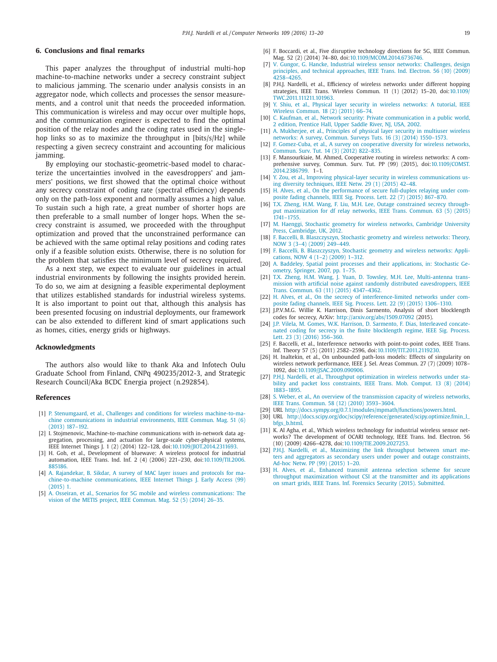# <span id="page-6-0"></span>**6. Conclusions and final remarks**

This paper analyzes the throughput of industrial multi-hop machine-to-machine networks under a secrecy constraint subject to malicious jamming. The scenario under analysis consists in an aggregator node, which collects and processes the sensor measurements, and a control unit that needs the proceeded information. This communication is wireless and may occur over multiple hops, and the communication engineer is expected to find the optimal position of the relay nodes and the coding rates used in the singlehop links so as to maximize the throughput in [bits/s/Hz] while respecting a given secrecy constraint and accounting for malicious jamming.

By employing our stochastic-geometric-based model to characterize the uncertainties involved in the eavesdroppers' and jammers' positions, we first showed that the optimal choice without any secrecy constraint of coding rate (spectral efficiency) depends only on the path-loss exponent and normally assumes a high value. To sustain such a high rate, a great number of shorter hops are then preferable to a small number of longer hops. When the secrecy constraint is assumed, we proceeded with the throughput optimization and proved that the unconstrained performance can be achieved with the same optimal relay positions and coding rates only if a feasible solution exists. Otherwise, there is no solution for the problem that satisfies the minimum level of secrecy required.

As a next step, we expect to evaluate our guidelines in actual industrial environments by following the insights provided herein. To do so, we aim at designing a feasible experimental deployment that utilizes established standards for industrial wireless systems. It is also important to point out that, although this analysis has been presented focusing on industrial deployments, our framework can be also extended to different kind of smart applications such as homes, cities, energy grids or highways.

#### **Acknowledgments**

The authors also would like to thank Aka and Infotech Oulu Graduate School from Finland, CNPq 490235/2012-3, and Strategic Research Council/Aka BCDC Energia project (n.292854).

#### **References**

- [1] P. [Stenumgaard,](http://refhub.elsevier.com/S1389-1286(16)30201-8/sbref0001) et [al.,](http://refhub.elsevier.com/S1389-1286(16)30201-8/sbref0001) Challenges and conditions for wireless machine-to-machine [communications](http://refhub.elsevier.com/S1389-1286(16)30201-8/sbref0001) in industrial environments, IEEE Commun. Mag. 51 (6) (2013) 187–192.
- [2] I. Stojmenovic, Machine-to-machine communications with in-network data aggregation, processing, and actuation for large-scale cyber-physical systems, IEEE Internet Things J. 1 (2) (2014) 122–128, doi[:10.1109/JIOT.2014.2311693.](http://dx.doi.org/10.1109/JIOT.2014.2311693)
- [3] H. Goh, et al., Development of bluewave: A wireless protocol for industrial automation, IEEE Trans. Ind. Inf. 2 (4) (2006) 221–230, [doi:10.1109/TII.2006.](http://dx.doi.org/10.1109/TII.2006.885186) 885186.
- [4] A. [Rajandekar,](http://refhub.elsevier.com/S1389-1286(16)30201-8/sbref0004) B. [Sikdar,](http://refhub.elsevier.com/S1389-1286(16)30201-8/sbref0004) A survey of MAC layer issues and protocols for ma[chine-to-machine](http://refhub.elsevier.com/S1389-1286(16)30201-8/sbref0004) communications, IEEE Internet Things J. Early Access (99) (2015) 1.
- [5] A. [Osseiran,](http://refhub.elsevier.com/S1389-1286(16)30201-8/sbref0005) et [al.,](http://refhub.elsevier.com/S1389-1286(16)30201-8/sbref0005) Scenarios for 5G mobile and wireless [communications:](http://refhub.elsevier.com/S1389-1286(16)30201-8/sbref0005) The vision of the METIS project, IEEE Commun. Mag. 52 (5) (2014) 26–35.
- [6] F. Boccardi, et al., Five disruptive technology directions for 5G, IEEE Commun. Mag. 52 (2) (2014) 74–80, doi[:10.1109/MCOM.2014.6736746.](http://dx.doi.org/10.1109/MCOM.2014.6736746)
- [7] V. [Gungor,](http://refhub.elsevier.com/S1389-1286(16)30201-8/sbref0007) G. [Hancke,](http://refhub.elsevier.com/S1389-1286(16)30201-8/sbref0007) Industrial wireless sensor networks: Challenges, design principles, and technical [approaches,](http://refhub.elsevier.com/S1389-1286(16)30201-8/sbref0007) IEEE Trans. Ind. Electron. 56 (10) (2009) 4258–4265.
- [8] P.H.J. Nardelli, et al., Efficiency of wireless networks under different hopping strategies, IEEE Trans. Wireless Commun. 11 (1) (2012) 15–20, doi:10.1109/ [TWC.2011.111211.101963.](http://dx.doi.org/10.1109/TWC.2011.111211.101963)
- [9] Y. [Shiu,](http://refhub.elsevier.com/S1389-1286(16)30201-8/sbref0009) et [al.,](http://refhub.elsevier.com/S1389-1286(16)30201-8/sbref0009) Physical layer security in wireless [networks:](http://refhub.elsevier.com/S1389-1286(16)30201-8/sbref0009) A tutorial, IEEE Wireless Commun. 18 (2) (2011) 66–74.
- [10] C. [Kaufman,](http://refhub.elsevier.com/S1389-1286(16)30201-8/sbref0010) et [al.,](http://refhub.elsevier.com/S1389-1286(16)30201-8/sbref0010) Network security: Private [communication](http://refhub.elsevier.com/S1389-1286(16)30201-8/sbref0010) in a public world, 2 edition, Prentice Hall, Upper Saddle River, NJ, USA, 2002.
- [11] A. [Mukherjee,](http://refhub.elsevier.com/S1389-1286(16)30201-8/sbref0011) et [al.,](http://refhub.elsevier.com/S1389-1286(16)30201-8/sbref0011) Principles of physical layer security in multiuser wireless networks: A survey, Commun. Surveys Tuts. 16 (3) (2014) [1550–1573.](http://refhub.elsevier.com/S1389-1286(16)30201-8/sbref0011)
- [12] F. [Gomez-Cuba,](http://refhub.elsevier.com/S1389-1286(16)30201-8/sbref0012) et [al.,](http://refhub.elsevier.com/S1389-1286(16)30201-8/sbref0012) A survey on cooperative diversity for wireless networks Commun. Surv. Tut. 14 (3) (2012) 822–835.
- [13] F. Mansourkiaie, M. Ahmed, Cooperative routing in wireless networks: A comprehensive survey, Commun. Surv. Tut. PP (99) (2015), [doi:10.1109/COMST.](http://dx.doi.org/10.1109/COMST.2014.2386799) 2014.2386799. 1–1.
- [14] Y. [Zou,](http://refhub.elsevier.com/S1389-1286(16)30201-8/sbref0014) et [al.,](http://refhub.elsevier.com/S1389-1286(16)30201-8/sbref0014) Improving physical-layer security in wireless [communications](http://refhub.elsevier.com/S1389-1286(16)30201-8/sbref0014) using diversity techniques, IEEE Netw. 29 (1) (2015) 42–48.
- [15] H. [Alves,](http://refhub.elsevier.com/S1389-1286(16)30201-8/sbref0015) et [al.,](http://refhub.elsevier.com/S1389-1286(16)30201-8/sbref0015) On the [performance](http://refhub.elsevier.com/S1389-1286(16)30201-8/sbref0015) of secure full-duplex relaying under composite fading channels, IEEE Sig. Process. Lett. 22 (7) (2015) 867–870.
- [16] T.X. [Zheng,](http://refhub.elsevier.com/S1389-1286(16)30201-8/sbref0016) H.M. [Wang,](http://refhub.elsevier.com/S1389-1286(16)30201-8/sbref0016) F. [Liu,](http://refhub.elsevier.com/S1389-1286(16)30201-8/sbref0016) [M.H.](http://refhub.elsevier.com/S1389-1286(16)30201-8/sbref0016) Lee, Outage constrained secrecy throughput [maximization](http://refhub.elsevier.com/S1389-1286(16)30201-8/sbref0016) for df relay networks, IEEE Trans. Commun. 63 (5) (2015) 1741–1755.
- [17] M. [Haenggi,](http://refhub.elsevier.com/S1389-1286(16)30201-8/sbref0017) Stochastic geometry for wireless networks, Cambridge University Press, [Cambridge,](http://refhub.elsevier.com/S1389-1286(16)30201-8/sbref0017) UK, 2012.
- [18] F. [Baccelli,](http://refhub.elsevier.com/S1389-1286(16)30201-8/sbref0018) B. [Blaszczyszyn, Stochastic](http://refhub.elsevier.com/S1389-1286(16)30201-8/sbref0018) geometry and wireless networks: Theory, NOW 3 (3–4) (2009) 249–449.
- [19] F. [Baccelli,](http://refhub.elsevier.com/S1389-1286(16)30201-8/sbref0019) B. [Blaszczyszyn,](http://refhub.elsevier.com/S1389-1286(16)30201-8/sbref0019) Stochastic geometry and wireless networks: Applications, NOW 4 (1–2) (2009) 1–312.
- [20] A. [Baddeley,](http://refhub.elsevier.com/S1389-1286(16)30201-8/sbref0020) Spatial point processes and their [applications,](http://refhub.elsevier.com/S1389-1286(16)30201-8/sbref0020) in: Stochastic Geometry, Springer, 2007, pp. 1–75.
- [21] T.X. [Zheng,](http://refhub.elsevier.com/S1389-1286(16)30201-8/sbref0021) H.M. [Wang,](http://refhub.elsevier.com/S1389-1286(16)30201-8/sbref0021) J. [Yuan,](http://refhub.elsevier.com/S1389-1286(16)30201-8/sbref0021) D. [Towsley,](http://refhub.elsevier.com/S1389-1286(16)30201-8/sbref0021) [M.H.](http://refhub.elsevier.com/S1389-1286(16)30201-8/sbref0021) Lee, Multi-antenna transmission with artificial noise against randomly distributed [eavesdroppers,](http://refhub.elsevier.com/S1389-1286(16)30201-8/sbref0021) IEEE Trans. Commun. 63 (11) (2015) 4347–4362.
- [22] H. [Alves,](http://refhub.elsevier.com/S1389-1286(16)30201-8/sbref0022) et [al.,](http://refhub.elsevier.com/S1389-1286(16)30201-8/sbref0022) On the secrecy of [interference-limited](http://refhub.elsevier.com/S1389-1286(16)30201-8/sbref0022) networks under composite fading channels, IEEE Sig. Process. Lett. 22 (9) (2015) 1306–1310.
- [23] J.P.V.M.G. Willie K. Harrison, Dinis Sarmento, Analysis of short blocklength codes for secrecy, ArXiv: <http://arxiv.org/abs/1509.07092> (2015).
- [24] J.P. [Vilela,](http://refhub.elsevier.com/S1389-1286(16)30201-8/sbref0023) M. [Gomes,](http://refhub.elsevier.com/S1389-1286(16)30201-8/sbref0023) W.K. [Harrison,](http://refhub.elsevier.com/S1389-1286(16)30201-8/sbref0023) D. [Sarmento,](http://refhub.elsevier.com/S1389-1286(16)30201-8/sbref0023) F. [Dias,](http://refhub.elsevier.com/S1389-1286(16)30201-8/sbref0023) Interleaved concatenated coding for secrecy in the finite [blocklength](http://refhub.elsevier.com/S1389-1286(16)30201-8/sbref0023) regime, IEEE Sig. Process. Lett. 23 (3) (2016) 356–360.
- [25] F. Baccelli, et al., Interference networks with point-to-point codes, IEEE Trans. Inf. Theory 57 (5) (2011) 2582–2596, doi[:10.1109/TIT.2011.2119230.](http://dx.doi.org/10.1109/TIT.2011.2119230)
- [26] H. Inaltekin, et al., On unbounded path-loss models: Effects of singularity on wireless network performance, IEEE J. Sel. Areas Commun. 27 (7) (2009) 1078– 1092, doi[:10.1109/JSAC.2009.090906.](http://dx.doi.org/10.1109/JSAC.2009.090906)
- [27] P.H.J. [Nardelli,](http://refhub.elsevier.com/S1389-1286(16)30201-8/sbref0026) et [al.,](http://refhub.elsevier.com/S1389-1286(16)30201-8/sbref0026) Throughput [optimization](http://refhub.elsevier.com/S1389-1286(16)30201-8/sbref0026) in wireless networks under stability and packet loss constraints, IEEE Trans. Mob. Comput. 13 (8) (2014) 1883–1895.
- [28] S. [Weber,](http://refhub.elsevier.com/S1389-1286(16)30201-8/sbref0027) et [al.,](http://refhub.elsevier.com/S1389-1286(16)30201-8/sbref0027) An overview of the [transmission](http://refhub.elsevier.com/S1389-1286(16)30201-8/sbref0027) capacity of wireless networks, IEEE Trans. Commun. 58 (12) (2010) 3593–3604.
- [29] URL [http://docs.sympy.org/0.7.1/modules/mpmath/functions/powers.html.](http://docs.sympy.org/0.7.1/modules/mpmath/functions/powers.html)
- [30] URL [http://docs.scipy.org/doc/scipy/reference/generated/scipy.optimize.fmin\\_l\\_](http://docs.scipy.org/doc/scipy/reference/generated/scipy.optimize.fmin_l_bfgs_b.html) bfgs\_b.html.
- [31] K. Al Agha, et al., Which wireless technology for industrial wireless sensor networks? The development of OCARI technology, IEEE Trans. Ind. Electron. 56 (10) (2009) 4266–4278, doi[:10.1109/TIE.2009.2027253.](http://dx.doi.org/10.1109/TIE.2009.2027253)
- P.H.J. [Nardelli,](http://refhub.elsevier.com/S1389-1286(16)30201-8/sbref0029) et [al.,](http://refhub.elsevier.com/S1389-1286(16)30201-8/sbref0029) [Maximizing](http://refhub.elsevier.com/S1389-1286(16)30201-8/sbref0029) the link throughput between smart meters and aggregators as secondary users under power and outage constraints, Ad-hoc Netw. PP (99) (2015) 1–20.
- [33] H. [Alves,](http://refhub.elsevier.com/S1389-1286(16)30201-8/sbref0030) et [al.,](http://refhub.elsevier.com/S1389-1286(16)30201-8/sbref0030) Enhanced transmit antenna selection scheme for secure throughput [maximization](http://refhub.elsevier.com/S1389-1286(16)30201-8/sbref0030) without CSI at the transmitter and its applications on smart grids, IEEE Trans. Inf. Forensics Security (2015). [Submitted.](http://refhub.elsevier.com/S1389-1286(16)30201-8/sbref0030)